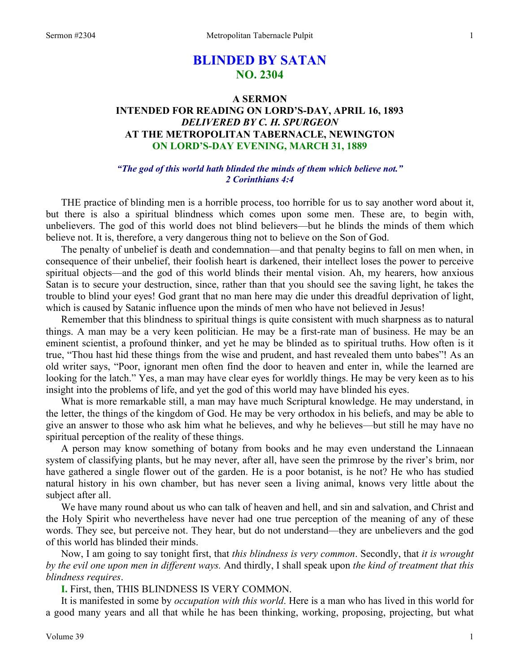# **BLINDED BY SATAN NO. 2304**

## **A SERMON INTENDED FOR READING ON LORD'S-DAY, APRIL 16, 1893**  *DELIVERED BY C. H. SPURGEON*  **AT THE METROPOLITAN TABERNACLE, NEWINGTON ON LORD'S-DAY EVENING, MARCH 31, 1889**

## *"The god of this world hath blinded the minds of them which believe not." 2 Corinthians 4:4*

THE practice of blinding men is a horrible process, too horrible for us to say another word about it, but there is also a spiritual blindness which comes upon some men. These are, to begin with, unbelievers. The god of this world does not blind believers—but he blinds the minds of them which believe not. It is, therefore, a very dangerous thing not to believe on the Son of God.

The penalty of unbelief is death and condemnation—and that penalty begins to fall on men when, in consequence of their unbelief, their foolish heart is darkened, their intellect loses the power to perceive spiritual objects—and the god of this world blinds their mental vision. Ah, my hearers, how anxious Satan is to secure your destruction, since, rather than that you should see the saving light, he takes the trouble to blind your eyes! God grant that no man here may die under this dreadful deprivation of light, which is caused by Satanic influence upon the minds of men who have not believed in Jesus!

Remember that this blindness to spiritual things is quite consistent with much sharpness as to natural things. A man may be a very keen politician. He may be a first-rate man of business. He may be an eminent scientist, a profound thinker, and yet he may be blinded as to spiritual truths. How often is it true, "Thou hast hid these things from the wise and prudent, and hast revealed them unto babes"! As an old writer says, "Poor, ignorant men often find the door to heaven and enter in, while the learned are looking for the latch." Yes, a man may have clear eyes for worldly things. He may be very keen as to his insight into the problems of life, and yet the god of this world may have blinded his eyes.

What is more remarkable still, a man may have much Scriptural knowledge. He may understand, in the letter, the things of the kingdom of God. He may be very orthodox in his beliefs, and may be able to give an answer to those who ask him what he believes, and why he believes—but still he may have no spiritual perception of the reality of these things.

A person may know something of botany from books and he may even understand the Linnaean system of classifying plants, but he may never, after all, have seen the primrose by the river's brim, nor have gathered a single flower out of the garden. He is a poor botanist, is he not? He who has studied natural history in his own chamber, but has never seen a living animal, knows very little about the subject after all.

We have many round about us who can talk of heaven and hell, and sin and salvation, and Christ and the Holy Spirit who nevertheless have never had one true perception of the meaning of any of these words. They see, but perceive not. They hear, but do not understand—they are unbelievers and the god of this world has blinded their minds.

Now, I am going to say tonight first, that *this blindness is very common*. Secondly, that *it is wrought by the evil one upon men in different ways.* And thirdly, I shall speak upon *the kind of treatment that this blindness requires*.

**I.** First, then, THIS BLINDNESS IS VERY COMMON.

It is manifested in some by *occupation with this world*. Here is a man who has lived in this world for a good many years and all that while he has been thinking, working, proposing, projecting, but what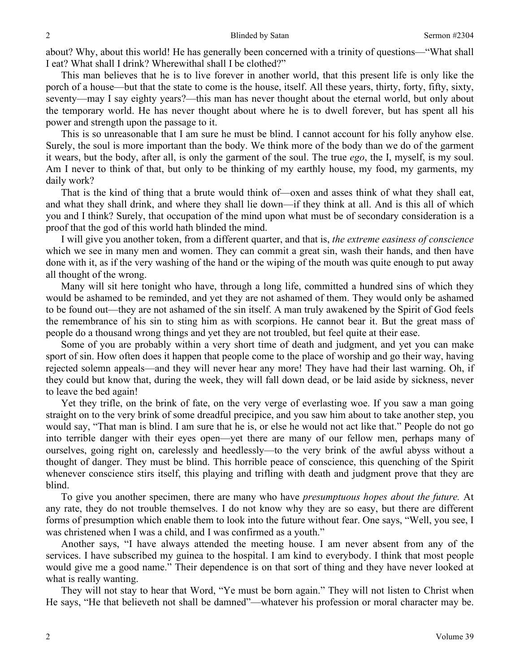about? Why, about this world! He has generally been concerned with a trinity of questions—"What shall I eat? What shall I drink? Wherewithal shall I be clothed?"

This man believes that he is to live forever in another world, that this present life is only like the porch of a house—but that the state to come is the house, itself. All these years, thirty, forty, fifty, sixty, seventy—may I say eighty years?—this man has never thought about the eternal world, but only about the temporary world. He has never thought about where he is to dwell forever, but has spent all his power and strength upon the passage to it.

This is so unreasonable that I am sure he must be blind. I cannot account for his folly anyhow else. Surely, the soul is more important than the body. We think more of the body than we do of the garment it wears, but the body, after all, is only the garment of the soul. The true *ego*, the I, myself, is my soul. Am I never to think of that, but only to be thinking of my earthly house, my food, my garments, my daily work?

That is the kind of thing that a brute would think of—oxen and asses think of what they shall eat, and what they shall drink, and where they shall lie down—if they think at all. And is this all of which you and I think? Surely, that occupation of the mind upon what must be of secondary consideration is a proof that the god of this world hath blinded the mind.

I will give you another token, from a different quarter, and that is, *the extreme easiness of conscience* which we see in many men and women. They can commit a great sin, wash their hands, and then have done with it, as if the very washing of the hand or the wiping of the mouth was quite enough to put away all thought of the wrong.

Many will sit here tonight who have, through a long life, committed a hundred sins of which they would be ashamed to be reminded, and yet they are not ashamed of them. They would only be ashamed to be found out—they are not ashamed of the sin itself. A man truly awakened by the Spirit of God feels the remembrance of his sin to sting him as with scorpions. He cannot bear it. But the great mass of people do a thousand wrong things and yet they are not troubled, but feel quite at their ease.

Some of you are probably within a very short time of death and judgment, and yet you can make sport of sin. How often does it happen that people come to the place of worship and go their way, having rejected solemn appeals—and they will never hear any more! They have had their last warning. Oh, if they could but know that, during the week, they will fall down dead, or be laid aside by sickness, never to leave the bed again!

Yet they trifle, on the brink of fate, on the very verge of everlasting woe. If you saw a man going straight on to the very brink of some dreadful precipice, and you saw him about to take another step, you would say, "That man is blind. I am sure that he is, or else he would not act like that." People do not go into terrible danger with their eyes open—yet there are many of our fellow men, perhaps many of ourselves, going right on, carelessly and heedlessly—to the very brink of the awful abyss without a thought of danger. They must be blind. This horrible peace of conscience, this quenching of the Spirit whenever conscience stirs itself, this playing and trifling with death and judgment prove that they are blind.

To give you another specimen, there are many who have *presumptuous hopes about the future.* At any rate, they do not trouble themselves. I do not know why they are so easy, but there are different forms of presumption which enable them to look into the future without fear. One says, "Well, you see, I was christened when I was a child, and I was confirmed as a youth."

Another says, "I have always attended the meeting house. I am never absent from any of the services. I have subscribed my guinea to the hospital. I am kind to everybody. I think that most people would give me a good name." Their dependence is on that sort of thing and they have never looked at what is really wanting.

They will not stay to hear that Word, "Ye must be born again." They will not listen to Christ when He says, "He that believeth not shall be damned"—whatever his profession or moral character may be.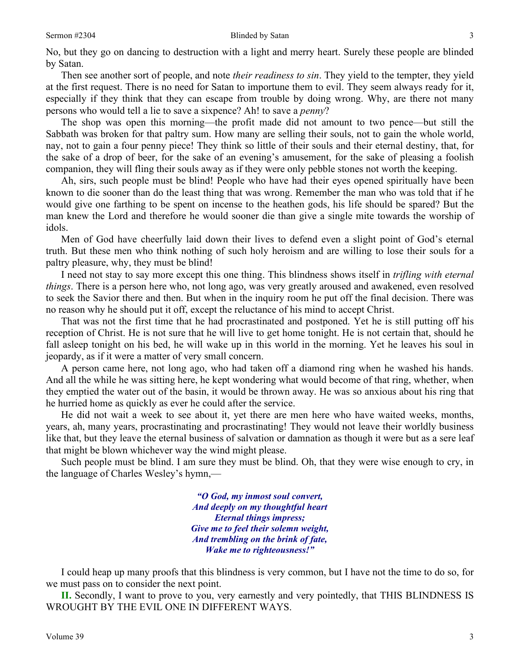No, but they go on dancing to destruction with a light and merry heart. Surely these people are blinded by Satan.

Then see another sort of people, and note *their readiness to sin*. They yield to the tempter, they yield at the first request. There is no need for Satan to importune them to evil. They seem always ready for it, especially if they think that they can escape from trouble by doing wrong. Why, are there not many persons who would tell a lie to save a sixpence? Ah! to save a *penny*?

The shop was open this morning—the profit made did not amount to two pence—but still the Sabbath was broken for that paltry sum. How many are selling their souls, not to gain the whole world, nay, not to gain a four penny piece! They think so little of their souls and their eternal destiny, that, for the sake of a drop of beer, for the sake of an evening's amusement, for the sake of pleasing a foolish companion, they will fling their souls away as if they were only pebble stones not worth the keeping.

Ah, sirs, such people must be blind! People who have had their eyes opened spiritually have been known to die sooner than do the least thing that was wrong. Remember the man who was told that if he would give one farthing to be spent on incense to the heathen gods, his life should be spared? But the man knew the Lord and therefore he would sooner die than give a single mite towards the worship of idols.

Men of God have cheerfully laid down their lives to defend even a slight point of God's eternal truth. But these men who think nothing of such holy heroism and are willing to lose their souls for a paltry pleasure, why, they must be blind!

I need not stay to say more except this one thing. This blindness shows itself in *trifling with eternal things*. There is a person here who, not long ago, was very greatly aroused and awakened, even resolved to seek the Savior there and then. But when in the inquiry room he put off the final decision. There was no reason why he should put it off, except the reluctance of his mind to accept Christ.

That was not the first time that he had procrastinated and postponed. Yet he is still putting off his reception of Christ. He is not sure that he will live to get home tonight. He is not certain that, should he fall asleep tonight on his bed, he will wake up in this world in the morning. Yet he leaves his soul in jeopardy, as if it were a matter of very small concern.

A person came here, not long ago, who had taken off a diamond ring when he washed his hands. And all the while he was sitting here, he kept wondering what would become of that ring, whether, when they emptied the water out of the basin, it would be thrown away. He was so anxious about his ring that he hurried home as quickly as ever he could after the service.

He did not wait a week to see about it, yet there are men here who have waited weeks, months, years, ah, many years, procrastinating and procrastinating! They would not leave their worldly business like that, but they leave the eternal business of salvation or damnation as though it were but as a sere leaf that might be blown whichever way the wind might please.

Such people must be blind. I am sure they must be blind. Oh, that they were wise enough to cry, in the language of Charles Wesley's hymn,—

> *"O God, my inmost soul convert, And deeply on my thoughtful heart Eternal things impress; Give me to feel their solemn weight, And trembling on the brink of fate, Wake me to righteousness!"*

I could heap up many proofs that this blindness is very common, but I have not the time to do so, for we must pass on to consider the next point.

**II.** Secondly, I want to prove to you, very earnestly and very pointedly, that THIS BLINDNESS IS WROUGHT BY THE EVIL ONE IN DIFFERENT WAYS.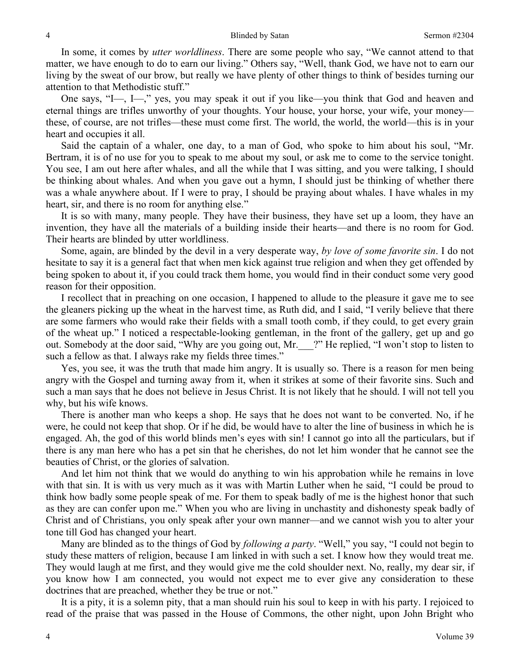In some, it comes by *utter worldliness*. There are some people who say, "We cannot attend to that matter, we have enough to do to earn our living." Others say, "Well, thank God, we have not to earn our living by the sweat of our brow, but really we have plenty of other things to think of besides turning our attention to that Methodistic stuff."

One says, "I—, I—," yes, you may speak it out if you like—you think that God and heaven and eternal things are trifles unworthy of your thoughts. Your house, your horse, your wife, your money these, of course, are not trifles—these must come first. The world, the world, the world—this is in your heart and occupies it all.

Said the captain of a whaler, one day, to a man of God, who spoke to him about his soul, "Mr. Bertram, it is of no use for you to speak to me about my soul, or ask me to come to the service tonight. You see, I am out here after whales, and all the while that I was sitting, and you were talking, I should be thinking about whales. And when you gave out a hymn, I should just be thinking of whether there was a whale anywhere about. If I were to pray, I should be praying about whales. I have whales in my heart, sir, and there is no room for anything else."

It is so with many, many people. They have their business, they have set up a loom, they have an invention, they have all the materials of a building inside their hearts—and there is no room for God. Their hearts are blinded by utter worldliness.

Some, again, are blinded by the devil in a very desperate way, *by love of some favorite sin*. I do not hesitate to say it is a general fact that when men kick against true religion and when they get offended by being spoken to about it, if you could track them home, you would find in their conduct some very good reason for their opposition.

I recollect that in preaching on one occasion, I happened to allude to the pleasure it gave me to see the gleaners picking up the wheat in the harvest time, as Ruth did, and I said, "I verily believe that there are some farmers who would rake their fields with a small tooth comb, if they could, to get every grain of the wheat up." I noticed a respectable-looking gentleman, in the front of the gallery, get up and go out. Somebody at the door said, "Why are you going out, Mr.\_\_\_?" He replied, "I won't stop to listen to such a fellow as that. I always rake my fields three times."

Yes, you see, it was the truth that made him angry. It is usually so. There is a reason for men being angry with the Gospel and turning away from it, when it strikes at some of their favorite sins. Such and such a man says that he does not believe in Jesus Christ. It is not likely that he should. I will not tell you why, but his wife knows.

There is another man who keeps a shop. He says that he does not want to be converted. No, if he were, he could not keep that shop. Or if he did, be would have to alter the line of business in which he is engaged. Ah, the god of this world blinds men's eyes with sin! I cannot go into all the particulars, but if there is any man here who has a pet sin that he cherishes, do not let him wonder that he cannot see the beauties of Christ, or the glories of salvation.

And let him not think that we would do anything to win his approbation while he remains in love with that sin. It is with us very much as it was with Martin Luther when he said, "I could be proud to think how badly some people speak of me. For them to speak badly of me is the highest honor that such as they are can confer upon me." When you who are living in unchastity and dishonesty speak badly of Christ and of Christians, you only speak after your own manner—and we cannot wish you to alter your tone till God has changed your heart.

Many are blinded as to the things of God by *following a party*. "Well," you say, "I could not begin to study these matters of religion, because I am linked in with such a set. I know how they would treat me. They would laugh at me first, and they would give me the cold shoulder next. No, really, my dear sir, if you know how I am connected, you would not expect me to ever give any consideration to these doctrines that are preached, whether they be true or not."

It is a pity, it is a solemn pity, that a man should ruin his soul to keep in with his party. I rejoiced to read of the praise that was passed in the House of Commons, the other night, upon John Bright who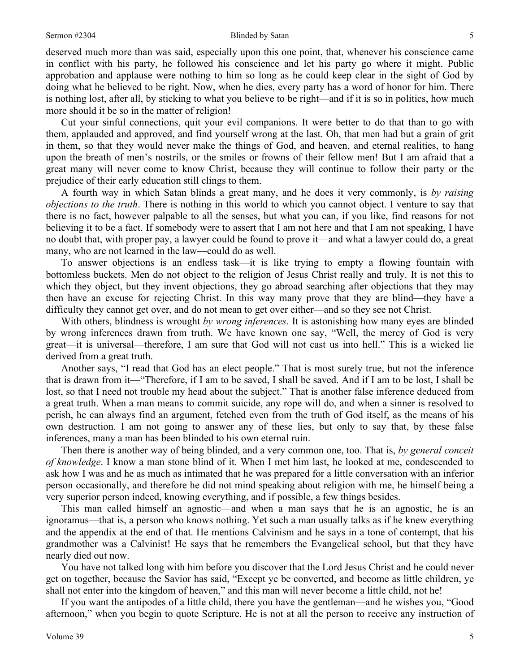deserved much more than was said, especially upon this one point, that, whenever his conscience came in conflict with his party, he followed his conscience and let his party go where it might. Public approbation and applause were nothing to him so long as he could keep clear in the sight of God by doing what he believed to be right. Now, when he dies, every party has a word of honor for him. There is nothing lost, after all, by sticking to what you believe to be right—and if it is so in politics, how much more should it be so in the matter of religion!

Cut your sinful connections, quit your evil companions. It were better to do that than to go with them, applauded and approved, and find yourself wrong at the last. Oh, that men had but a grain of grit in them, so that they would never make the things of God, and heaven, and eternal realities, to hang upon the breath of men's nostrils, or the smiles or frowns of their fellow men! But I am afraid that a great many will never come to know Christ, because they will continue to follow their party or the prejudice of their early education still clings to them.

A fourth way in which Satan blinds a great many, and he does it very commonly, is *by raising objections to the truth*. There is nothing in this world to which you cannot object. I venture to say that there is no fact, however palpable to all the senses, but what you can, if you like, find reasons for not believing it to be a fact. If somebody were to assert that I am not here and that I am not speaking, I have no doubt that, with proper pay, a lawyer could be found to prove it—and what a lawyer could do, a great many, who are not learned in the law—could do as well.

To answer objections is an endless task—it is like trying to empty a flowing fountain with bottomless buckets. Men do not object to the religion of Jesus Christ really and truly. It is not this to which they object, but they invent objections, they go abroad searching after objections that they may then have an excuse for rejecting Christ. In this way many prove that they are blind—they have a difficulty they cannot get over, and do not mean to get over either—and so they see not Christ.

With others, blindness is wrought *by wrong inferences*. It is astonishing how many eyes are blinded by wrong inferences drawn from truth. We have known one say, "Well, the mercy of God is very great—it is universal—therefore, I am sure that God will not cast us into hell." This is a wicked lie derived from a great truth.

Another says, "I read that God has an elect people." That is most surely true, but not the inference that is drawn from it—"Therefore, if I am to be saved, I shall be saved. And if I am to be lost, I shall be lost, so that I need not trouble my head about the subject." That is another false inference deduced from a great truth. When a man means to commit suicide, any rope will do, and when a sinner is resolved to perish, he can always find an argument, fetched even from the truth of God itself, as the means of his own destruction. I am not going to answer any of these lies, but only to say that, by these false inferences, many a man has been blinded to his own eternal ruin.

Then there is another way of being blinded, and a very common one, too. That is, *by general conceit of knowledge*. I know a man stone blind of it. When I met him last, he looked at me, condescended to ask how I was and he as much as intimated that he was prepared for a little conversation with an inferior person occasionally, and therefore he did not mind speaking about religion with me, he himself being a very superior person indeed, knowing everything, and if possible, a few things besides.

This man called himself an agnostic—and when a man says that he is an agnostic, he is an ignoramus—that is, a person who knows nothing. Yet such a man usually talks as if he knew everything and the appendix at the end of that. He mentions Calvinism and he says in a tone of contempt, that his grandmother was a Calvinist! He says that he remembers the Evangelical school, but that they have nearly died out now.

You have not talked long with him before you discover that the Lord Jesus Christ and he could never get on together, because the Savior has said, "Except ye be converted, and become as little children, ye shall not enter into the kingdom of heaven," and this man will never become a little child, not he!

If you want the antipodes of a little child, there you have the gentleman—and he wishes you, "Good afternoon," when you begin to quote Scripture. He is not at all the person to receive any instruction of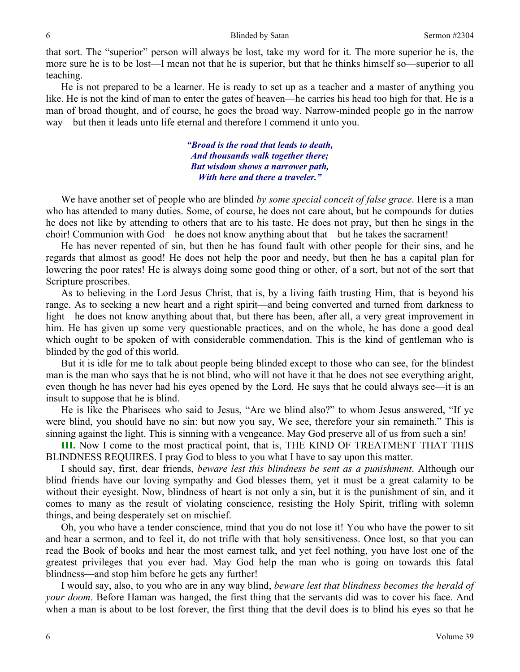that sort. The "superior" person will always be lost, take my word for it. The more superior he is, the more sure he is to be lost—I mean not that he is superior, but that he thinks himself so—superior to all teaching.

He is not prepared to be a learner. He is ready to set up as a teacher and a master of anything you like. He is not the kind of man to enter the gates of heaven—he carries his head too high for that. He is a man of broad thought, and of course, he goes the broad way. Narrow-minded people go in the narrow way—but then it leads unto life eternal and therefore I commend it unto you.

> *"Broad is the road that leads to death, And thousands walk together there; But wisdom shows a narrower path, With here and there a traveler."*

We have another set of people who are blinded *by some special conceit of false grace*. Here is a man who has attended to many duties. Some, of course, he does not care about, but he compounds for duties he does not like by attending to others that are to his taste. He does not pray, but then he sings in the choir! Communion with God—he does not know anything about that—but he takes the sacrament!

He has never repented of sin, but then he has found fault with other people for their sins, and he regards that almost as good! He does not help the poor and needy, but then he has a capital plan for lowering the poor rates! He is always doing some good thing or other, of a sort, but not of the sort that Scripture proscribes.

As to believing in the Lord Jesus Christ, that is, by a living faith trusting Him, that is beyond his range. As to seeking a new heart and a right spirit—and being converted and turned from darkness to light—he does not know anything about that, but there has been, after all, a very great improvement in him. He has given up some very questionable practices, and on the whole, he has done a good deal which ought to be spoken of with considerable commendation. This is the kind of gentleman who is blinded by the god of this world.

But it is idle for me to talk about people being blinded except to those who can see, for the blindest man is the man who says that he is not blind, who will not have it that he does not see everything aright, even though he has never had his eyes opened by the Lord. He says that he could always see—it is an insult to suppose that he is blind.

He is like the Pharisees who said to Jesus, "Are we blind also?" to whom Jesus answered, "If ye were blind, you should have no sin: but now you say, We see, therefore your sin remaineth." This is sinning against the light. This is sinning with a vengeance. May God preserve all of us from such a sin!

**III.** Now I come to the most practical point, that is, THE KIND OF TREATMENT THAT THIS BLINDNESS REQUIRES. I pray God to bless to you what I have to say upon this matter.

I should say, first, dear friends, *beware lest this blindness be sent as a punishment*. Although our blind friends have our loving sympathy and God blesses them, yet it must be a great calamity to be without their eyesight. Now, blindness of heart is not only a sin, but it is the punishment of sin, and it comes to many as the result of violating conscience, resisting the Holy Spirit, trifling with solemn things, and being desperately set on mischief.

Oh, you who have a tender conscience, mind that you do not lose it! You who have the power to sit and hear a sermon, and to feel it, do not trifle with that holy sensitiveness. Once lost, so that you can read the Book of books and hear the most earnest talk, and yet feel nothing, you have lost one of the greatest privileges that you ever had. May God help the man who is going on towards this fatal blindness—and stop him before he gets any further!

I would say, also, to you who are in any way blind, *beware lest that blindness becomes the herald of your doom*. Before Haman was hanged, the first thing that the servants did was to cover his face. And when a man is about to be lost forever, the first thing that the devil does is to blind his eyes so that he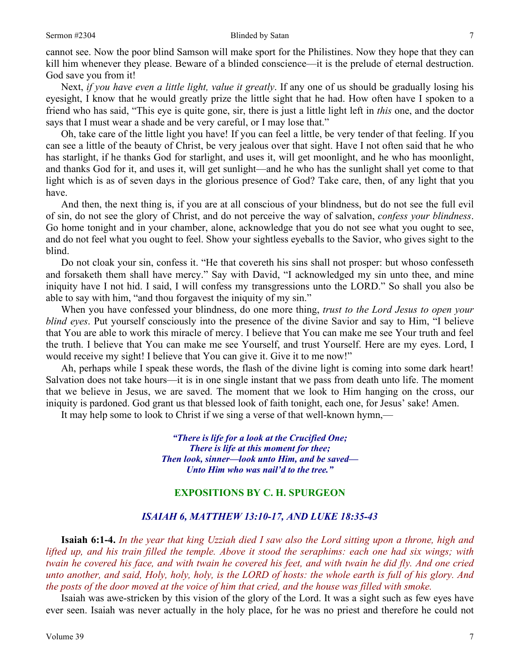#### Sermon #2304 Blinded by Satan 7

cannot see. Now the poor blind Samson will make sport for the Philistines. Now they hope that they can kill him whenever they please. Beware of a blinded conscience—it is the prelude of eternal destruction. God save you from it!

Next, *if you have even a little light, value it greatly*. If any one of us should be gradually losing his eyesight, I know that he would greatly prize the little sight that he had. How often have I spoken to a friend who has said, "This eye is quite gone, sir, there is just a little light left in *this* one, and the doctor says that I must wear a shade and be very careful, or I may lose that."

Oh, take care of the little light you have! If you can feel a little, be very tender of that feeling. If you can see a little of the beauty of Christ, be very jealous over that sight. Have I not often said that he who has starlight, if he thanks God for starlight, and uses it, will get moonlight, and he who has moonlight, and thanks God for it, and uses it, will get sunlight—and he who has the sunlight shall yet come to that light which is as of seven days in the glorious presence of God? Take care, then, of any light that you have.

And then, the next thing is, if you are at all conscious of your blindness, but do not see the full evil of sin, do not see the glory of Christ, and do not perceive the way of salvation, *confess your blindness*. Go home tonight and in your chamber, alone, acknowledge that you do not see what you ought to see, and do not feel what you ought to feel. Show your sightless eyeballs to the Savior, who gives sight to the blind.

Do not cloak your sin, confess it. "He that covereth his sins shall not prosper: but whoso confesseth and forsaketh them shall have mercy." Say with David, "I acknowledged my sin unto thee, and mine iniquity have I not hid. I said, I will confess my transgressions unto the LORD." So shall you also be able to say with him, "and thou forgavest the iniquity of my sin."

When you have confessed your blindness, do one more thing, *trust to the Lord Jesus to open your blind eyes*. Put yourself consciously into the presence of the divine Savior and say to Him, "I believe that You are able to work this miracle of mercy. I believe that You can make me see Your truth and feel the truth. I believe that You can make me see Yourself, and trust Yourself. Here are my eyes. Lord, I would receive my sight! I believe that You can give it. Give it to me now!"

Ah, perhaps while I speak these words, the flash of the divine light is coming into some dark heart! Salvation does not take hours—it is in one single instant that we pass from death unto life. The moment that we believe in Jesus, we are saved. The moment that we look to Him hanging on the cross, our iniquity is pardoned. God grant us that blessed look of faith tonight, each one, for Jesus' sake! Amen.

It may help some to look to Christ if we sing a verse of that well-known hymn,—

*"There is life for a look at the Crucified One; There is life at this moment for thee; Then look, sinner—look unto Him, and be saved— Unto Him who was nail'd to the tree."* 

### **EXPOSITIONS BY C. H. SPURGEON**

#### *ISAIAH 6, MATTHEW 13:10-17, AND LUKE 18:35-43*

**Isaiah 6:1-4.** *In the year that king Uzziah died I saw also the Lord sitting upon a throne, high and lifted up, and his train filled the temple. Above it stood the seraphims: each one had six wings; with twain he covered his face, and with twain he covered his feet, and with twain he did fly. And one cried unto another, and said, Holy, holy, holy, is the LORD of hosts: the whole earth is full of his glory. And the posts of the door moved at the voice of him that cried, and the house was filled with smoke.* 

Isaiah was awe-stricken by this vision of the glory of the Lord. It was a sight such as few eyes have ever seen. Isaiah was never actually in the holy place, for he was no priest and therefore he could not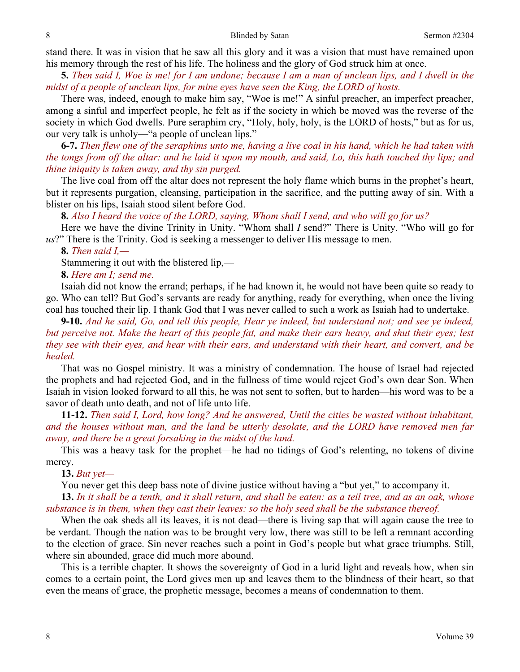stand there. It was in vision that he saw all this glory and it was a vision that must have remained upon his memory through the rest of his life. The holiness and the glory of God struck him at once.

**5.** *Then said I, Woe is me! for I am undone; because I am a man of unclean lips, and I dwell in the midst of a people of unclean lips, for mine eyes have seen the King, the LORD of hosts.* 

There was, indeed, enough to make him say, "Woe is me!" A sinful preacher, an imperfect preacher, among a sinful and imperfect people, he felt as if the society in which be moved was the reverse of the society in which God dwells. Pure seraphim cry, "Holy, holy, holy, is the LORD of hosts," but as for us, our very talk is unholy—"a people of unclean lips."

**6-7.** *Then flew one of the seraphims unto me, having a live coal in his hand, which he had taken with the tongs from off the altar: and he laid it upon my mouth, and said, Lo, this hath touched thy lips; and thine iniquity is taken away, and thy sin purged.* 

The live coal from off the altar does not represent the holy flame which burns in the prophet's heart, but it represents purgation, cleansing, participation in the sacrifice, and the putting away of sin. With a blister on his lips, Isaiah stood silent before God.

**8.** *Also I heard the voice of the LORD, saying, Whom shall I send, and who will go for us?* 

Here we have the divine Trinity in Unity. "Whom shall *I* send?" There is Unity. "Who will go for *us*?" There is the Trinity. God is seeking a messenger to deliver His message to men.

**8.** *Then said I,—* 

Stammering it out with the blistered lip,—

**8.** *Here am I; send me.* 

Isaiah did not know the errand; perhaps, if he had known it, he would not have been quite so ready to go. Who can tell? But God's servants are ready for anything, ready for everything, when once the living coal has touched their lip. I thank God that I was never called to such a work as Isaiah had to undertake.

**9-10.** *And he said, Go, and tell this people, Hear ye indeed, but understand not; and see ye indeed, but perceive not. Make the heart of this people fat, and make their ears heavy, and shut their eyes; lest they see with their eyes, and hear with their ears, and understand with their heart, and convert, and be healed.* 

That was no Gospel ministry. It was a ministry of condemnation. The house of Israel had rejected the prophets and had rejected God, and in the fullness of time would reject God's own dear Son. When Isaiah in vision looked forward to all this, he was not sent to soften, but to harden—his word was to be a savor of death unto death, and not of life unto life.

**11-12.** *Then said I, Lord, how long? And he answered, Until the cities be wasted without inhabitant, and the houses without man, and the land be utterly desolate, and the LORD have removed men far away, and there be a great forsaking in the midst of the land.* 

This was a heavy task for the prophet—he had no tidings of God's relenting, no tokens of divine mercy.

**13.** *But yet—* 

You never get this deep bass note of divine justice without having a "but yet," to accompany it.

**13.** *In it shall be a tenth, and it shall return, and shall be eaten: as a teil tree, and as an oak, whose substance is in them, when they cast their leaves: so the holy seed shall be the substance thereof.* 

When the oak sheds all its leaves, it is not dead—there is living sap that will again cause the tree to be verdant. Though the nation was to be brought very low, there was still to be left a remnant according to the election of grace. Sin never reaches such a point in God's people but what grace triumphs. Still, where sin abounded, grace did much more abound.

This is a terrible chapter. It shows the sovereignty of God in a lurid light and reveals how, when sin comes to a certain point, the Lord gives men up and leaves them to the blindness of their heart, so that even the means of grace, the prophetic message, becomes a means of condemnation to them.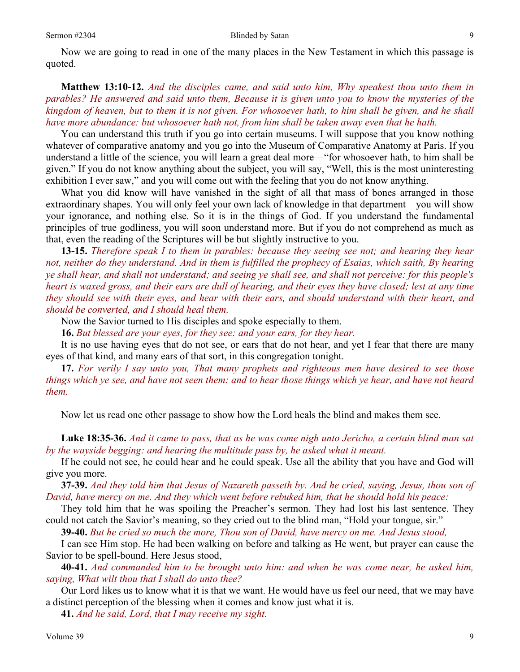Now we are going to read in one of the many places in the New Testament in which this passage is quoted.

**Matthew 13:10-12.** *And the disciples came, and said unto him, Why speakest thou unto them in parables? He answered and said unto them, Because it is given unto you to know the mysteries of the kingdom of heaven, but to them it is not given. For whosoever hath, to him shall be given, and he shall have more abundance: but whosoever hath not, from him shall be taken away even that he hath.* 

You can understand this truth if you go into certain museums. I will suppose that you know nothing whatever of comparative anatomy and you go into the Museum of Comparative Anatomy at Paris. If you understand a little of the science, you will learn a great deal more—"for whosoever hath, to him shall be given." If you do not know anything about the subject, you will say, "Well, this is the most uninteresting exhibition I ever saw," and you will come out with the feeling that you do not know anything.

What you did know will have vanished in the sight of all that mass of bones arranged in those extraordinary shapes. You will only feel your own lack of knowledge in that department—you will show your ignorance, and nothing else. So it is in the things of God. If you understand the fundamental principles of true godliness, you will soon understand more. But if you do not comprehend as much as that, even the reading of the Scriptures will be but slightly instructive to you.

**13-15.** *Therefore speak I to them in parables: because they seeing see not; and hearing they hear not, neither do they understand. And in them is fulfilled the prophecy of Esaias, which saith, By hearing ye shall hear, and shall not understand; and seeing ye shall see, and shall not perceive: for this people's heart is waxed gross, and their ears are dull of hearing, and their eyes they have closed; lest at any time they should see with their eyes, and hear with their ears, and should understand with their heart, and should be converted, and I should heal them.* 

Now the Savior turned to His disciples and spoke especially to them.

**16.** *But blessed are your eyes, for they see: and your ears, for they hear.* 

It is no use having eyes that do not see, or ears that do not hear, and yet I fear that there are many eyes of that kind, and many ears of that sort, in this congregation tonight.

**17.** *For verily I say unto you, That many prophets and righteous men have desired to see those things which ye see, and have not seen them: and to hear those things which ye hear, and have not heard them.* 

Now let us read one other passage to show how the Lord heals the blind and makes them see.

**Luke 18:35-36.** *And it came to pass, that as he was come nigh unto Jericho, a certain blind man sat by the wayside begging: and hearing the multitude pass by, he asked what it meant.* 

If he could not see, he could hear and he could speak. Use all the ability that you have and God will give you more.

**37-39.** *And they told him that Jesus of Nazareth passeth by. And he cried, saying, Jesus, thou son of David, have mercy on me. And they which went before rebuked him, that he should hold his peace:* 

They told him that he was spoiling the Preacher's sermon. They had lost his last sentence. They could not catch the Savior's meaning, so they cried out to the blind man, "Hold your tongue, sir."

**39-40.** *But he cried so much the more, Thou son of David, have mercy on me. And Jesus stood,* 

I can see Him stop. He had been walking on before and talking as He went, but prayer can cause the Savior to be spell-bound. Here Jesus stood,

**40-41.** *And commanded him to be brought unto him: and when he was come near, he asked him, saying, What wilt thou that I shall do unto thee?* 

Our Lord likes us to know what it is that we want. He would have us feel our need, that we may have a distinct perception of the blessing when it comes and know just what it is.

**41.** *And he said, Lord, that I may receive my sight.*